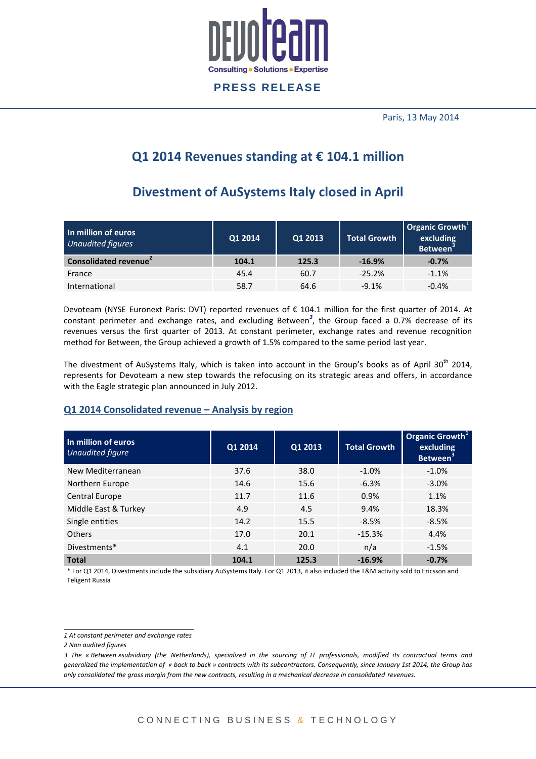

Paris, 13 May 2014

# **Q1 2014 Revenues standing at € 104.1 million**

# **Divestment of AuSystems Italy closed in April**

| In million of euros<br><b>Unaudited figures</b> | Q1 2014 | Q1 2013 | <b>Total Growth</b> | Organic Growth <sup>1</sup><br>excluding<br><b>Between</b> <sup>3</sup> |
|-------------------------------------------------|---------|---------|---------------------|-------------------------------------------------------------------------|
| Consolidated revenue <sup>2</sup>               | 104.1   | 125.3   | $-16.9%$            | $-0.7%$                                                                 |
| France                                          | 45.4    | 60.7    | $-25.2%$            | $-1.1%$                                                                 |
| International                                   | 58.7    | 64.6    | $-9.1%$             | $-0.4%$                                                                 |

Devoteam (NYSE Euronext Paris: DVT) reported revenues of € 104.1 million for the first quarter of 2014. At constant perimeter and exchange rates, and excluding Between*<sup>3</sup>* , the Group faced a 0.7% decrease of its revenues versus the first quarter of 2013. At constant perimeter, exchange rates and revenue recognition method for Between, the Group achieved a growth of 1.5% compared to the same period last year.

The divestment of AuSystems Italy, which is taken into account in the Group's books as of April 30<sup>th</sup> 2014, represents for Devoteam a new step towards the refocusing on its strategic areas and offers, in accordance with the Eagle strategic plan announced in July 2012.

### **Q1 2014 Consolidated revenue – Analysis by region**

| In million of euros<br>Unaudited figure | Q1 2014 | Q1 2013 | <b>Total Growth</b> | Organic Growth <sup>1</sup><br>excluding<br>Between <sup>3</sup> |
|-----------------------------------------|---------|---------|---------------------|------------------------------------------------------------------|
| New Mediterranean                       | 37.6    | 38.0    | $-1.0\%$            | $-1.0%$                                                          |
| Northern Europe                         | 14.6    | 15.6    | $-6.3%$             | $-3.0%$                                                          |
| Central Europe                          | 11.7    | 11.6    | 0.9%                | 1.1%                                                             |
| Middle East & Turkey                    | 4.9     | 4.5     | 9.4%                | 18.3%                                                            |
| Single entities                         | 14.2    | 15.5    | $-8.5%$             | $-8.5%$                                                          |
| <b>Others</b>                           | 17.0    | 20.1    | $-15.3%$            | 4.4%                                                             |
| Divestments*                            | 4.1     | 20.0    | n/a                 | $-1.5%$                                                          |
| <b>Total</b>                            | 104.1   | 125.3   | $-16.9%$            | $-0.7%$                                                          |

\* For Q1 2014, Divestments include the subsidiary AuSystems Italy. For Q1 2013, it also included the T&M activity sold to Ericsson and Teligent Russia

 *1 At constant perimeter and exchange rates*

*<sup>2</sup> Non audited figures*

*<sup>3</sup> The « Between »subsidiary (the Netherlands), specialized in the sourcing of IT professionals, modified its contractual terms and generalized the implementation of « back to back » contracts with its subcontractors. Consequently, since January 1st 2014, the Group has only consolidated the gross margin from the new contracts, resulting in a mechanical decrease in consolidated revenues.*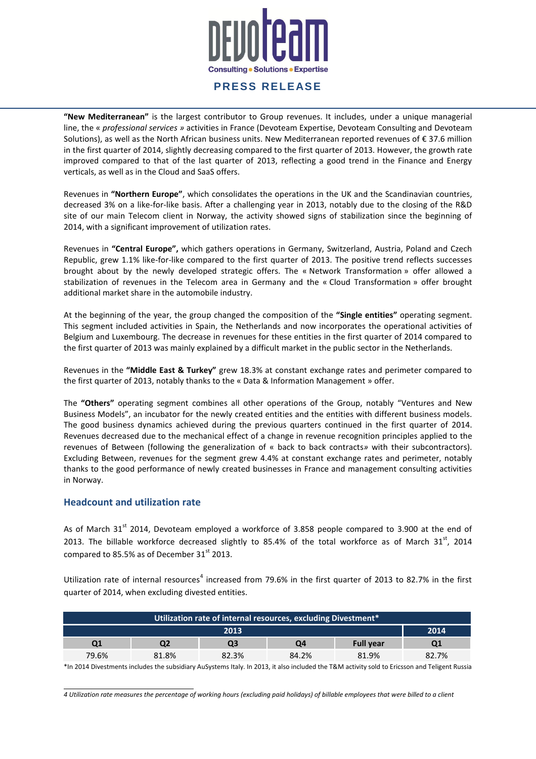

**"New Mediterranean"** is the largest contributor to Group revenues. It includes, under a unique managerial line, the « *professional services »* activities in France (Devoteam Expertise, Devoteam Consulting and Devoteam Solutions), as well as the North African business units. New Mediterranean reported revenues of € 37.6 million in the first quarter of 2014, slightly decreasing compared to the first quarter of 2013. However, the growth rate improved compared to that of the last quarter of 2013, reflecting a good trend in the Finance and Energy verticals, as well as in the Cloud and SaaS offers.

Revenues in **"Northern Europe"**, which consolidates the operations in the UK and the Scandinavian countries, decreased 3% on a like-for-like basis. After a challenging year in 2013, notably due to the closing of the R&D site of our main Telecom client in Norway, the activity showed signs of stabilization since the beginning of 2014, with a significant improvement of utilization rates.

Revenues in **"Central Europe",** which gathers operations in Germany, Switzerland, Austria, Poland and Czech Republic, grew 1.1% like-for-like compared to the first quarter of 2013. The positive trend reflects successes brought about by the newly developed strategic offers. The « Network Transformation » offer allowed a stabilization of revenues in the Telecom area in Germany and the « Cloud Transformation » offer brought additional market share in the automobile industry.

At the beginning of the year, the group changed the composition of the **"Single entities"** operating segment. This segment included activities in Spain, the Netherlands and now incorporates the operational activities of Belgium and Luxembourg. The decrease in revenues for these entities in the first quarter of 2014 compared to the first quarter of 2013 was mainly explained by a difficult market in the public sector in the Netherlands.

Revenues in the **"Middle East & Turkey"** grew 18.3% at constant exchange rates and perimeter compared to the first quarter of 2013, notably thanks to the « Data & Information Management » offer.

The **"Others"** operating segment combines all other operations of the Group, notably "Ventures and New Business Models", an incubator for the newly created entities and the entities with different business models. The good business dynamics achieved during the previous quarters continued in the first quarter of 2014. Revenues decreased due to the mechanical effect of a change in revenue recognition principles applied to the revenues of Between (following the generalization of « back to back contracts*»* with their subcontractors). Excluding Between, revenues for the segment grew 4.4% at constant exchange rates and perimeter, notably thanks to the good performance of newly created businesses in France and management consulting activities in Norway.

#### **Headcount and utilization rate**

As of March 31<sup>st</sup> 2014, Devoteam employed a workforce of 3.858 people compared to 3.900 at the end of 2013. The billable workforce decreased slightly to 85.4% of the total workforce as of March  $31<sup>st</sup>$ , 2014 compared to 85.5% as of December  $31<sup>st</sup>$  2013.

Utilization rate of internal resources<sup>4</sup> increased from 79.6% in the first quarter of 2013 to 82.7% in the first quarter of 2014, when excluding divested entities.

| Utilization rate of internal resources, excluding Divestment* |                              |       |       |       |       |  |
|---------------------------------------------------------------|------------------------------|-------|-------|-------|-------|--|
|                                                               | 2014                         |       |       |       |       |  |
| Q1                                                            | <b>Full year</b><br>Q3<br>Q4 |       |       |       |       |  |
| 79.6%                                                         | 81.8%                        | 82.3% | 84.2% | 81.9% | 82.7% |  |

\*In 2014 Divestments includes the subsidiary AuSystems Italy. In 2013, it also included the T&M activity sold to Ericsson and Teligent Russia

*4 Utilization rate measures the percentage of working hours (excluding paid holidays) of billable employees that were billed to a client*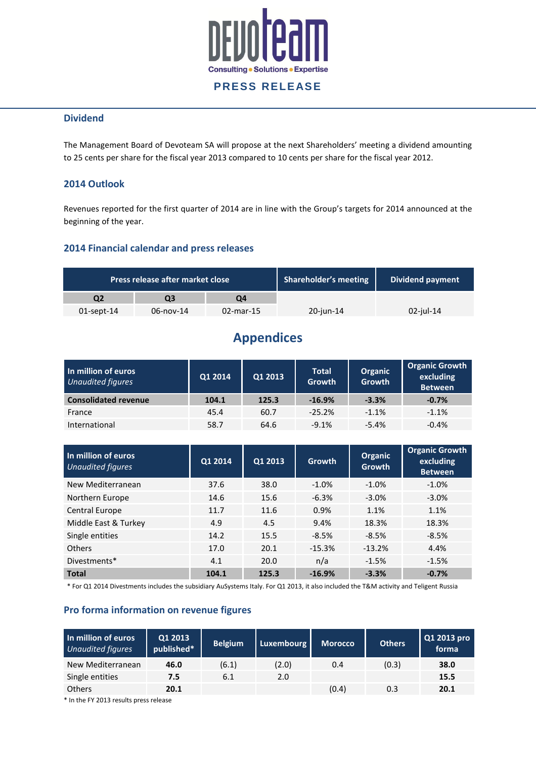

#### **Dividend**

The Management Board of Devoteam SA will propose at the next Shareholders' meeting a dividend amounting to 25 cents per share for the fiscal year 2013 compared to 10 cents per share for the fiscal year 2012.

### **2014 Outlook**

Revenues reported for the first quarter of 2014 are in line with the Group's targets for 2014 announced at the beginning of the year.

#### **2014 Financial calendar and press releases**

| Press release after market close |                   | <b>Shareholder's meeting</b> | Dividend payment |              |
|----------------------------------|-------------------|------------------------------|------------------|--------------|
| Q2                               | 03                | Q4                           |                  |              |
| $01$ -sept-14                    | $06 - n$ ov $-14$ | $02$ -mar-15                 | 20-jun-14        | $02$ -jul-14 |

# **Appendices**

| In million of euros<br><b>Unaudited figures</b> | Q1 2014 | Q1 2013 | <b>Total</b><br>Growth | <b>Organic</b><br>Growth | <b>Organic Growth</b><br>excluding<br><b>Between</b> |
|-------------------------------------------------|---------|---------|------------------------|--------------------------|------------------------------------------------------|
| <b>Consolidated revenue</b>                     | 104.1   | 125.3   | $-16.9%$               | $-3.3%$                  | $-0.7%$                                              |
| France                                          | 45.4    | 60.7    | $-25.2%$               | $-1.1%$                  | $-1.1%$                                              |
| International                                   | 58.7    | 64.6    | $-9.1%$                | $-5.4%$                  | $-0.4%$                                              |

| In million of euros<br><b>Unaudited figures</b> | Q1 2014 | Q1 2013 | <b>Growth</b> | Organic<br><b>Growth</b> | <b>Organic Growth</b><br>excluding<br><b>Between</b> |
|-------------------------------------------------|---------|---------|---------------|--------------------------|------------------------------------------------------|
| New Mediterranean                               | 37.6    | 38.0    | $-1.0%$       | $-1.0%$                  | $-1.0%$                                              |
| Northern Europe                                 | 14.6    | 15.6    | $-6.3%$       | $-3.0%$                  | $-3.0%$                                              |
| <b>Central Europe</b>                           | 11.7    | 11.6    | 0.9%          | 1.1%                     | 1.1%                                                 |
| Middle East & Turkey                            | 4.9     | 4.5     | 9.4%          | 18.3%                    | 18.3%                                                |
| Single entities                                 | 14.2    | 15.5    | $-8.5%$       | $-8.5%$                  | $-8.5%$                                              |
| <b>Others</b>                                   | 17.0    | 20.1    | $-15.3%$      | $-13.2%$                 | 4.4%                                                 |
| Divestments*                                    | 4.1     | 20.0    | n/a           | $-1.5%$                  | $-1.5%$                                              |
| <b>Total</b>                                    | 104.1   | 125.3   | $-16.9%$      | $-3.3%$                  | $-0.7%$                                              |

\* For Q1 2014 Divestments includes the subsidiary AuSystems Italy. For Q1 2013, it also included the T&M activity and Teligent Russia

#### **Pro forma information on revenue figures**

| In million of euros<br><b>Unaudited figures</b> | Q1 2013<br>published* | <b>Belgium</b> | Luxembourg | <b>Morocco</b> | <b>Others</b> | Q1 2013 pro<br>forma |
|-------------------------------------------------|-----------------------|----------------|------------|----------------|---------------|----------------------|
| New Mediterranean                               | 46.0                  | (6.1)          | (2.0)      | 0.4            | (0.3)         | 38.0                 |
| Single entities                                 | 7.5                   | 6.1            | 2.0        |                |               | 15.5                 |
| <b>Others</b>                                   | 20.1                  |                |            | (0.4)          | 0.3           | 20.1                 |

\* In the FY 2013 results press release